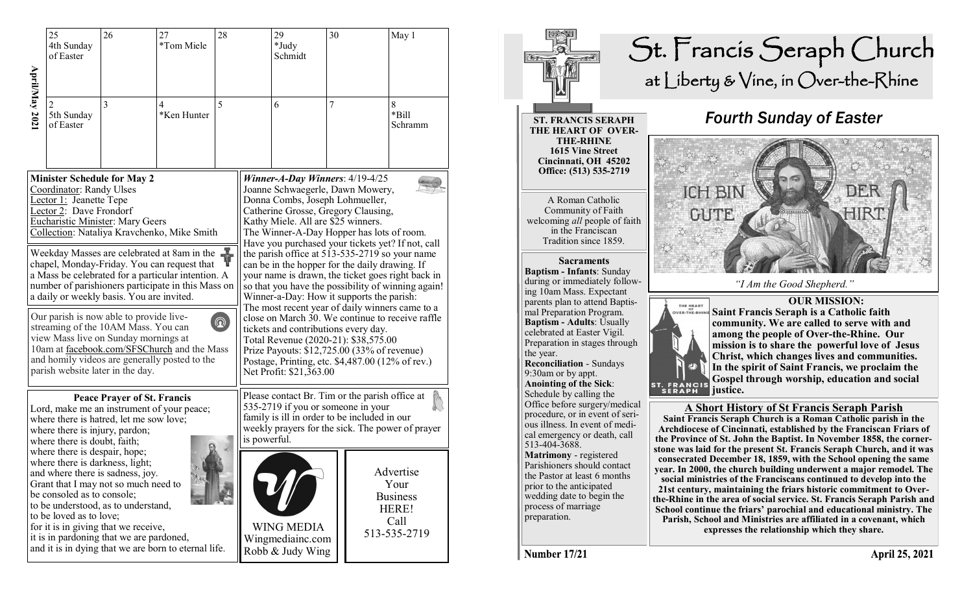|               | 25<br>4th Sunday<br>of Easter                                                                                                                                                                                                                                                                                                                                                                                                                                                                                                                                                                           | 26                                       | 27<br>*Tom Miele                                     | 28 |                                                                                                                                                                                                                                                                                                                                                                                                                                                                                                                                                                                                                                                                                                                                                                                                                                                                          | 29<br>*Judy<br>Schmidt               | 30 | May 1                                                 |
|---------------|---------------------------------------------------------------------------------------------------------------------------------------------------------------------------------------------------------------------------------------------------------------------------------------------------------------------------------------------------------------------------------------------------------------------------------------------------------------------------------------------------------------------------------------------------------------------------------------------------------|------------------------------------------|------------------------------------------------------|----|--------------------------------------------------------------------------------------------------------------------------------------------------------------------------------------------------------------------------------------------------------------------------------------------------------------------------------------------------------------------------------------------------------------------------------------------------------------------------------------------------------------------------------------------------------------------------------------------------------------------------------------------------------------------------------------------------------------------------------------------------------------------------------------------------------------------------------------------------------------------------|--------------------------------------|----|-------------------------------------------------------|
| April/May 202 | $\mathfrak{D}$<br>5th Sunday<br>of Easter                                                                                                                                                                                                                                                                                                                                                                                                                                                                                                                                                               | $\overline{3}$                           | $\overline{4}$<br>*Ken Hunter                        | 5  |                                                                                                                                                                                                                                                                                                                                                                                                                                                                                                                                                                                                                                                                                                                                                                                                                                                                          | 6                                    | 7  | $8\,$<br>*Bill<br>Schramm                             |
|               | <b>Minister Schedule for May 2</b><br>Coordinator: Randy Ulses<br>Lector 1: Jeanette Tepe<br>Lector 2: Dave Frondorf<br><b>Eucharistic Minister: Mary Geers</b><br>Collection: Nataliya Kravchenko, Mike Smith                                                                                                                                                                                                                                                                                                                                                                                          |                                          |                                                      |    | Winner-A-Day Winners: $4/19-4/25$<br>Joanne Schwaegerle, Dawn Mowery,<br>Donna Combs, Joseph Lohmueller,<br>Catherine Grosse, Gregory Clausing,<br>Kathy Miele. All are \$25 winners.<br>The Winner-A-Day Hopper has lots of room.<br>Have you purchased your tickets yet? If not, call<br>the parish office at 513-535-2719 so your name<br>can be in the hopper for the daily drawing. If<br>your name is drawn, the ticket goes right back in<br>so that you have the possibility of winning again!<br>Winner-a-Day: How it supports the parish:<br>The most recent year of daily winners came to a<br>close on March 30. We continue to receive raffle<br>tickets and contributions every day.<br>Total Revenue (2020-21): \$38,575.00<br>Prize Payouts: \$12,725.00 (33% of revenue)<br>Postage, Printing, etc. \$4,487.00 (12% of rev.)<br>Net Profit: \$21,363.00 |                                      |    |                                                       |
|               | Weekday Masses are celebrated at 8am in the $\frac{1}{\sqrt{2}}$<br>chapel. Monday-Friday. You can request that<br>chapel, Monday-Friday. You can request that<br>a Mass be celebrated for a particular intention. A<br>number of parishioners participate in this Mass on<br>a daily or weekly basis. You are invited.<br>Our parish is now able to provide live-<br>$^{\circledR}$<br>streaming of the 10AM Mass. You can<br>view Mass live on Sunday mornings at<br>10am at facebook.com/SFSChurch and the Mass<br>and homily videos are generally posted to the<br>parish website later in the day. |                                          |                                                      |    |                                                                                                                                                                                                                                                                                                                                                                                                                                                                                                                                                                                                                                                                                                                                                                                                                                                                          |                                      |    |                                                       |
|               | <b>Peace Prayer of St. Francis</b><br>Lord, make me an instrument of your peace;<br>where there is hatred, let me sow love;<br>where there is injury, pardon;<br>where there is doubt, faith;<br>where there is despair, hope;<br>where there is darkness, light;<br>and where there is sadness, joy.<br>Grant that I may not so much need to<br>be consoled as to console;<br>to be understood, as to understand,<br>to be loved as to love;<br>for it is in giving that we receive,                                                                                                                   |                                          |                                                      |    | Please contact Br. Tim or the parish office at<br>535-2719 if you or someone in your<br>family is ill in order to be included in our<br>weekly prayers for the sick. The power of prayer<br>is powerful.                                                                                                                                                                                                                                                                                                                                                                                                                                                                                                                                                                                                                                                                 |                                      |    |                                                       |
|               |                                                                                                                                                                                                                                                                                                                                                                                                                                                                                                                                                                                                         |                                          |                                                      |    |                                                                                                                                                                                                                                                                                                                                                                                                                                                                                                                                                                                                                                                                                                                                                                                                                                                                          | <b>WING MEDIA</b>                    |    | Advertise<br>Your<br><b>Business</b><br>HERE!<br>Call |
|               |                                                                                                                                                                                                                                                                                                                                                                                                                                                                                                                                                                                                         | it is in pardoning that we are pardoned, | and it is in dying that we are born to eternal life. |    |                                                                                                                                                                                                                                                                                                                                                                                                                                                                                                                                                                                                                                                                                                                                                                                                                                                                          | Wingmediainc.com<br>Robb & Judy Wing |    | 513-535-2719                                          |